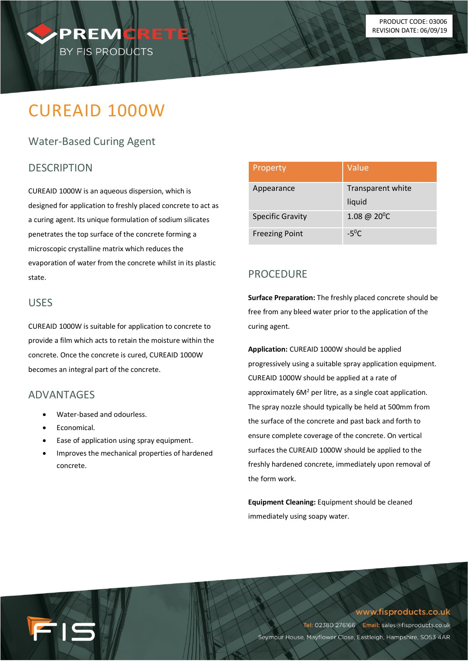

# CUREAID 1000W

## Water-Based Curing Agent

## **DESCRIPTION**

CUREAID 1000W is an aqueous dispersion, which is designed for application to freshly placed concrete to act as a curing agent. Its unique formulation of sodium silicates penetrates the top surface of the concrete forming a microscopic crystalline matrix which reduces the evaporation of water from the concrete whilst in its plastic state.

#### USES

CUREAID 1000W is suitable for application to concrete to provide a film which acts to retain the moisture within the concrete. Once the concrete is cured, CUREAID 1000W becomes an integral part of the concrete.

## **ADVANTAGES**

- Water-based and odourless.
- Economical.

15

- Ease of application using spray equipment.
- Improves the mechanical properties of hardened concrete.

| Property                | Value                       |
|-------------------------|-----------------------------|
| Appearance              | Transparent white<br>liquid |
| <b>Specific Gravity</b> | $1.08 \ @ \ 20^0C$          |
| <b>Freezing Point</b>   | $-5^{0}C$                   |

## PROCEDURE

**Surface Preparation:** The freshly placed concrete should be free from any bleed water prior to the application of the curing agent.

**Application:** CUREAID 1000W should be applied progressively using a suitable spray application equipment. CUREAID 1000W should be applied at a rate of approximately 6M<sup>2</sup> per litre, as a single coat application. The spray nozzle should typically be held at 500mm from the surface of the concrete and past back and forth to ensure complete coverage of the concrete. On vertical surfaces the CUREAID 1000W should be applied to the freshly hardened concrete, immediately upon removal of the form work.

**Equipment Cleaning:** Equipment should be cleaned immediately using soapy water.

www.fisproducts.co.uk

Tel: 02380 276166 Email: sales@fisproducts.co.uk Seymour House, Mayflower Close, Eastleigh, Hampshire, SO53 4AR